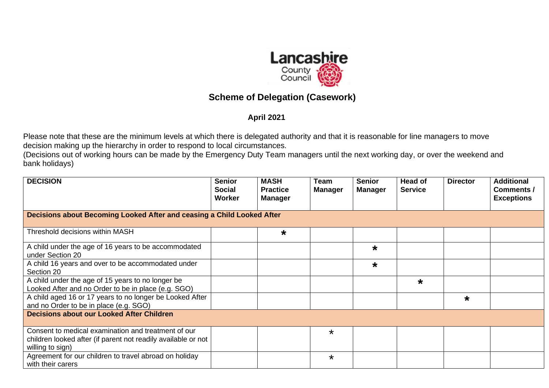

## **Scheme of Delegation (Casework)**

## **April 2021**

Please note that these are the minimum levels at which there is delegated authority and that it is reasonable for line managers to move decision making up the hierarchy in order to respond to local circumstances.

(Decisions out of working hours can be made by the Emergency Duty Team managers until the next working day, or over the weekend and bank holidays)

| <b>DECISION</b>                                                                                                                          | <b>Senior</b><br><b>Social</b><br>Worker | <b>MASH</b><br><b>Practice</b><br>Manager | <b>Team</b><br><b>Manager</b> | <b>Senior</b><br><b>Manager</b> | Head of<br><b>Service</b> | <b>Director</b> | <b>Additional</b><br><b>Comments /</b><br><b>Exceptions</b> |  |
|------------------------------------------------------------------------------------------------------------------------------------------|------------------------------------------|-------------------------------------------|-------------------------------|---------------------------------|---------------------------|-----------------|-------------------------------------------------------------|--|
| Decisions about Becoming Looked After and ceasing a Child Looked After                                                                   |                                          |                                           |                               |                                 |                           |                 |                                                             |  |
| Threshold decisions within MASH                                                                                                          |                                          | $\star$                                   |                               |                                 |                           |                 |                                                             |  |
| A child under the age of 16 years to be accommodated<br>under Section 20                                                                 |                                          |                                           |                               | $\star$                         |                           |                 |                                                             |  |
| A child 16 years and over to be accommodated under<br>Section 20                                                                         |                                          |                                           |                               | $\star$                         |                           |                 |                                                             |  |
| A child under the age of 15 years to no longer be<br>Looked After and no Order to be in place (e.g. SGO)                                 |                                          |                                           |                               |                                 | $\star$                   |                 |                                                             |  |
| A child aged 16 or 17 years to no longer be Looked After<br>and no Order to be in place (e.g. SGO)                                       |                                          |                                           |                               |                                 |                           | $\star$         |                                                             |  |
| <b>Decisions about our Looked After Children</b>                                                                                         |                                          |                                           |                               |                                 |                           |                 |                                                             |  |
| Consent to medical examination and treatment of our<br>children looked after (if parent not readily available or not<br>willing to sign) |                                          |                                           | $\star$                       |                                 |                           |                 |                                                             |  |
| Agreement for our children to travel abroad on holiday<br>with their carers                                                              |                                          |                                           | $\star$                       |                                 |                           |                 |                                                             |  |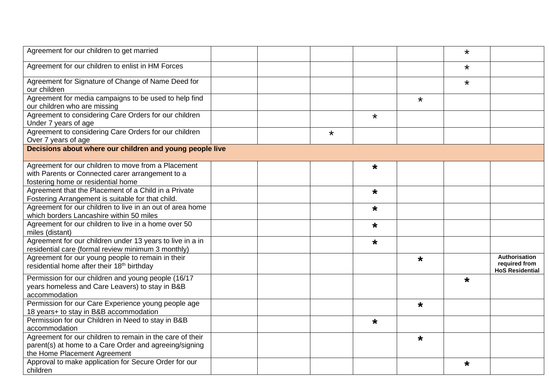| Agreement for our children to get married                                                                                                           |  |         |         |         | $\star$ |                                                          |
|-----------------------------------------------------------------------------------------------------------------------------------------------------|--|---------|---------|---------|---------|----------------------------------------------------------|
| Agreement for our children to enlist in HM Forces                                                                                                   |  |         |         |         | $\star$ |                                                          |
| Agreement for Signature of Change of Name Deed for<br>our children                                                                                  |  |         |         |         | $\star$ |                                                          |
| Agreement for media campaigns to be used to help find<br>our children who are missing                                                               |  |         |         | $\star$ |         |                                                          |
| Agreement to considering Care Orders for our children<br>Under 7 years of age                                                                       |  |         | $\star$ |         |         |                                                          |
| Agreement to considering Care Orders for our children<br>Over 7 years of age                                                                        |  | $\star$ |         |         |         |                                                          |
| Decisions about where our children and young people live                                                                                            |  |         |         |         |         |                                                          |
| Agreement for our children to move from a Placement<br>with Parents or Connected carer arrangement to a<br>fostering home or residential home       |  |         | $\star$ |         |         |                                                          |
| Agreement that the Placement of a Child in a Private<br>Fostering Arrangement is suitable for that child.                                           |  |         | $\star$ |         |         |                                                          |
| Agreement for our children to live in an out of area home<br>which borders Lancashire within 50 miles                                               |  |         | $\star$ |         |         |                                                          |
| Agreement for our children to live in a home over 50<br>miles (distant)                                                                             |  |         | $\star$ |         |         |                                                          |
| Agreement for our children under 13 years to live in a in<br>residential care (formal review minimum 3 monthly)                                     |  |         | $\star$ |         |         |                                                          |
| Agreement for our young people to remain in their<br>residential home after their 18 <sup>th</sup> birthday                                         |  |         |         | $\star$ |         | Authorisation<br>required from<br><b>HoS Residential</b> |
| Permission for our children and young people (16/17<br>years homeless and Care Leavers) to stay in B&B<br>accommodation                             |  |         |         |         | $\star$ |                                                          |
| Permission for our Care Experience young people age<br>18 years+ to stay in B&B accommodation                                                       |  |         |         | $\star$ |         |                                                          |
| Permission for our Children in Need to stay in B&B<br>accommodation                                                                                 |  |         | $\star$ |         |         |                                                          |
| Agreement for our children to remain in the care of their<br>parent(s) at home to a Care Order and agreeing/signing<br>the Home Placement Agreement |  |         |         | $\star$ |         |                                                          |
| Approval to make application for Secure Order for our<br>children                                                                                   |  |         |         |         | $\star$ |                                                          |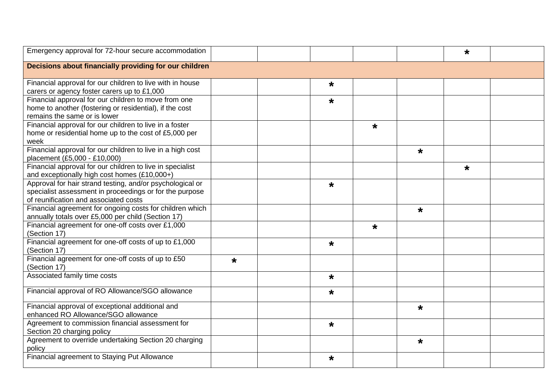| Emergency approval for 72-hour secure accommodation                                                                                                           |         |         |         |         | $\star$ |  |
|---------------------------------------------------------------------------------------------------------------------------------------------------------------|---------|---------|---------|---------|---------|--|
| Decisions about financially providing for our children                                                                                                        |         |         |         |         |         |  |
| Financial approval for our children to live with in house<br>carers or agency foster carers up to £1,000                                                      |         | $\star$ |         |         |         |  |
| Financial approval for our children to move from one<br>home to another (fostering or residential), if the cost<br>remains the same or is lower               |         | $\star$ |         |         |         |  |
| Financial approval for our children to live in a foster<br>home or residential home up to the cost of £5,000 per<br>week                                      |         |         | $\star$ |         |         |  |
| Financial approval for our children to live in a high cost<br>placement (£5,000 - £10,000)                                                                    |         |         |         | $\star$ |         |  |
| Financial approval for our children to live in specialist<br>and exceptionally high cost homes (£10,000+)                                                     |         |         |         |         | $\star$ |  |
| Approval for hair strand testing, and/or psychological or<br>specialist assessment in proceedings or for the purpose<br>of reunification and associated costs |         | $\star$ |         |         |         |  |
| Financial agreement for ongoing costs for children which<br>annually totals over £5,000 per child (Section 17)                                                |         |         |         | $\star$ |         |  |
| Financial agreement for one-off costs over £1,000<br>(Section 17)                                                                                             |         |         | $\star$ |         |         |  |
| Financial agreement for one-off costs of up to £1,000<br>(Section 17)                                                                                         |         | $\star$ |         |         |         |  |
| Financial agreement for one-off costs of up to £50<br>(Section 17)                                                                                            | $\star$ |         |         |         |         |  |
| Associated family time costs                                                                                                                                  |         | $\star$ |         |         |         |  |
| Financial approval of RO Allowance/SGO allowance                                                                                                              |         | $\star$ |         |         |         |  |
| Financial approval of exceptional additional and<br>enhanced RO Allowance/SGO allowance                                                                       |         |         |         | $\star$ |         |  |
| Agreement to commission financial assessment for<br>Section 20 charging policy                                                                                |         | $\star$ |         |         |         |  |
| Agreement to override undertaking Section 20 charging<br>policy                                                                                               |         |         |         | $\star$ |         |  |
| Financial agreement to Staying Put Allowance                                                                                                                  |         | $\star$ |         |         |         |  |